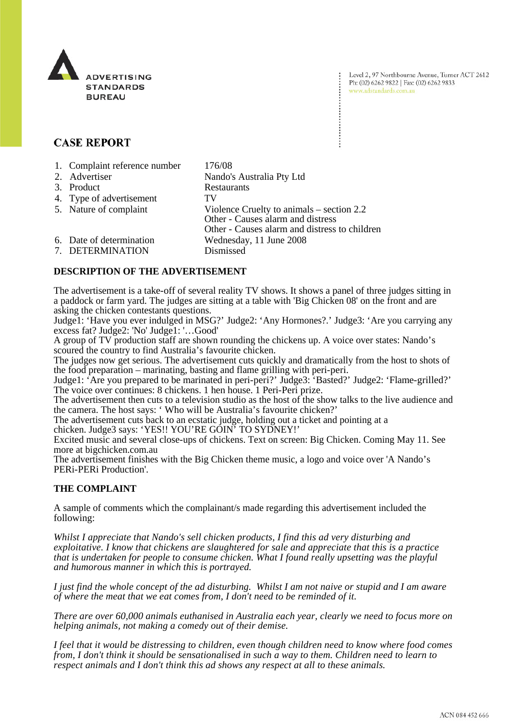

Level 2, 97 Northbourne Avenue, Turner ACT 2612 Ph: (02) 6262 9822 | Fax: (02) 6262 9833 www.adstandards.com.au

# **CASE REPORT**

| 1. Complaint reference number | 176/08                                        |
|-------------------------------|-----------------------------------------------|
| 2. Advertiser                 | Nando's Australia Pty Ltd                     |
| 3. Product                    | Restaurants                                   |
| 4. Type of advertisement      | TV                                            |
| 5. Nature of complaint        | Violence Cruelty to animals $-$ section 2.2   |
|                               | Other - Causes alarm and distress             |
|                               | Other - Causes alarm and distress to children |
| 6. Date of determination      | Wednesday, 11 June 2008                       |
| 7. DETERMINATION              | Dismissed                                     |

## **DESCRIPTION OF THE ADVERTISEMENT**

The advertisement is a take-off of several reality TV shows. It shows a panel of three judges sitting in a paddock or farm yard. The judges are sitting at a table with 'Big Chicken 08' on the front and are asking the chicken contestants questions.

Judge1: 'Have you ever indulged in MSG?' Judge2: 'Any Hormones?.' Judge3: 'Are you carrying any excess fat? Judge2: 'No' Judge1: '…Good'

A group of TV production staff are shown rounding the chickens up. A voice over states: Nando's scoured the country to find Australia's favourite chicken.

The judges now get serious. The advertisement cuts quickly and dramatically from the host to shots of the food preparation – marinating, basting and flame grilling with peri-peri.

Judge1: 'Are you prepared to be marinated in peri-peri?' Judge3: 'Basted?' Judge2: 'Flame-grilled?' The voice over continues: 8 chickens. 1 hen house. 1 Peri-Peri prize.

The advertisement then cuts to a television studio as the host of the show talks to the live audience and the camera. The host says: ' Who will be Australia's favourite chicken?'

The advertisement cuts back to an ecstatic judge, holding out a ticket and pointing at a chicken. Judge3 says: 'YES!! YOU'RE GOIN' TO SYDNEY!'

Excited music and several close-ups of chickens. Text on screen: Big Chicken. Coming May 11. See

more at bigchicken.com.au

The advertisement finishes with the Big Chicken theme music, a logo and voice over 'A Nando's PERi-PERi Production'.

## **THE COMPLAINT**

A sample of comments which the complainant/s made regarding this advertisement included the following:

*Whilst I appreciate that Nando's sell chicken products, I find this ad very disturbing and exploitative. I know that chickens are slaughtered for sale and appreciate that this is a practice that is undertaken for people to consume chicken. What I found really upsetting was the playful and humorous manner in which this is portrayed.*

*I just find the whole concept of the ad disturbing. Whilst I am not naive or stupid and I am aware of where the meat that we eat comes from, I don't need to be reminded of it.*

*There are over 60,000 animals euthanised in Australia each year, clearly we need to focus more on helping animals, not making a comedy out of their demise.*

*I feel that it would be distressing to children, even though children need to know where food comes from, I don't think it should be sensationalised in such a way to them. Children need to learn to respect animals and I don't think this ad shows any respect at all to these animals.*